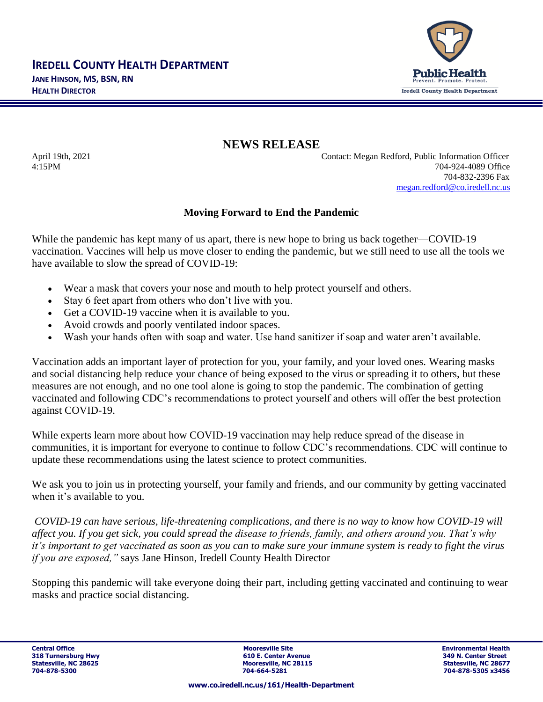

**NEWS RELEASE**

April 19th, 2021 Contact: Megan Redford, Public Information Officer 4:15PM 704-924-4089 Office 704-832-2396 Fax [megan.redford@co.iredell.nc.us](mailto:megan.redford@co.iredell.nc.us)

## **Moving Forward to End the Pandemic**

While the pandemic has kept many of us apart, there is new hope to bring us back together—COVID-19 vaccination. Vaccines will help us move closer to ending the pandemic, but we still need to use all the tools we have available to slow the spread of COVID-19:

- Wear a mask that covers your nose and mouth to help protect yourself and others.
- Stay 6 feet apart from others who don't live with you.
- Get a COVID-19 vaccine when it is available to you.
- Avoid crowds and poorly ventilated indoor spaces.
- Wash your hands often with soap and water. Use hand sanitizer if soap and water aren't available.

Vaccination adds an important layer of protection for you, your family, and your loved ones. Wearing masks and social distancing help reduce your chance of being exposed to the virus or spreading it to others, but these measures are not enough, and no one tool alone is going to stop the pandemic. The combination of getting vaccinated and following CDC's recommendations to protect yourself and others will offer the best protection against COVID-19.

While experts learn more about how COVID-19 vaccination may help reduce spread of the disease in communities, it is important for everyone to continue to follow CDC's recommendations. CDC will continue to update these recommendations using the latest science to protect communities.

We ask you to join us in protecting yourself, your family and friends, and our community by getting vaccinated when it's available to you.

*COVID-19 can have [serious, life-threatening complications,](https://www.cdc.gov/coronavirus/2019-ncov/symptoms-testing/symptoms.html) and there is no way to know how COVID-19 will affect you. If you get sick, you could spread the disease to friends, family, and others around you. That's why it's important to get vaccinated as soon as you can to make sure your immune system is ready to fight the virus if you are exposed,"* says Jane Hinson, Iredell County Health Director

Stopping this pandemic will take everyone doing their part, including getting vaccinated and continuing to wear masks and practice social distancing.

**Central Office Mooresville Site Environmental Health 318 Turnersburg Hwy 610 E. Center Avenue 349 N. Center Street Mooresville, NC 28115 Mooresville, NC 28677**<br> **Statesville, NC 28115**<br> **Statesville, NC 28677 704-878-5300 704-664-5281 704-878-5305 x3456**